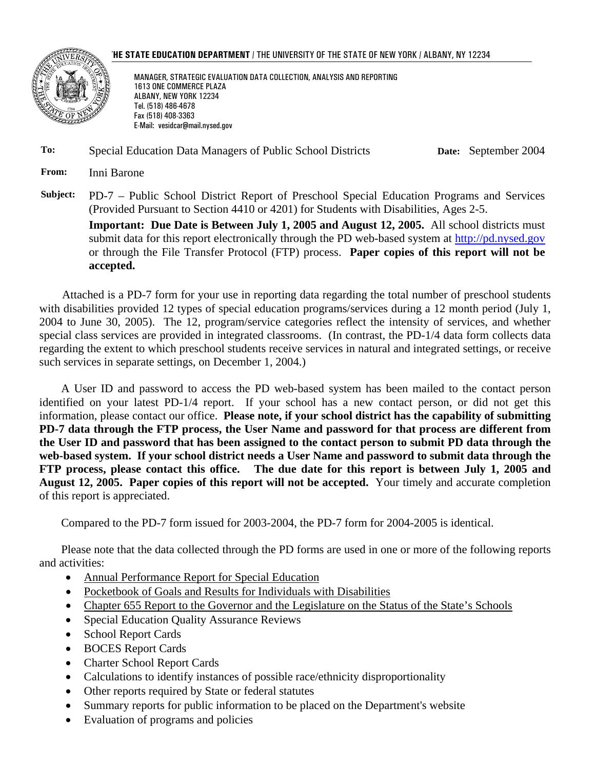



MANAGER, STRATEGIC EVALUATION DATA COLLECTION, ANALYSIS AND REPORTING 1613 ONE COMMERCE PLAZA ALBANY, NEW YORK 12234 Tel. (518) 486-4678 Fax (518) 408-3363 E-Mail: vesidcar@mail.nysed.gov

**To:** Special Education Data Managers of Public School Districts **Date:** September 2004

**From:** Inni Barone

**Subject:** PD-7 – Public School District Report of Preschool Special Education Programs and Services (Provided Pursuant to Section 4410 or 4201) for Students with Disabilities, Ages 2-5.

**Important: Due Date is Between July 1, 2005 and August 12, 2005.** All school districts must submit data for this report electronically through the PD web-based system at http://pd.nysed.gov or through the File Transfer Protocol (FTP) process. **Paper copies of this report will not be accepted.** 

Attached is a PD-7 form for your use in reporting data regarding the total number of preschool students with disabilities provided 12 types of special education programs/services during a 12 month period (July 1, 2004 to June 30, 2005). The 12, program/service categories reflect the intensity of services, and whether special class services are provided in integrated classrooms. (In contrast, the PD-1/4 data form collects data regarding the extent to which preschool students receive services in natural and integrated settings, or receive such services in separate settings, on December 1, 2004.)

A User ID and password to access the PD web-based system has been mailed to the contact person identified on your latest PD-1/4 report. If your school has a new contact person, or did not get this information, please contact our office. **Please note, if your school district has the capability of submitting PD-7 data through the FTP process, the User Name and password for that process are different from the User ID and password that has been assigned to the contact person to submit PD data through the web-based system. If your school district needs a User Name and password to submit data through the FTP process, please contact this office. The due date for this report is between July 1, 2005 and August 12, 2005. Paper copies of this report will not be accepted.** Your timely and accurate completion of this report is appreciated.

Compared to the PD-7 form issued for 2003-2004, the PD-7 form for 2004-2005 is identical.

Please note that the data collected through the PD forms are used in one or more of the following reports and activities:

- Annual Performance Report for Special Education
- Pocketbook of Goals and Results for Individuals with Disabilities
- Chapter 655 Report to the Governor and the Legislature on the Status of the State's Schools
- Special Education Quality Assurance Reviews
- School Report Cards
- BOCES Report Cards
- Charter School Report Cards
- Calculations to identify instances of possible race/ethnicity disproportionality
- Other reports required by State or federal statutes
- Summary reports for public information to be placed on the Department's website
- Evaluation of programs and policies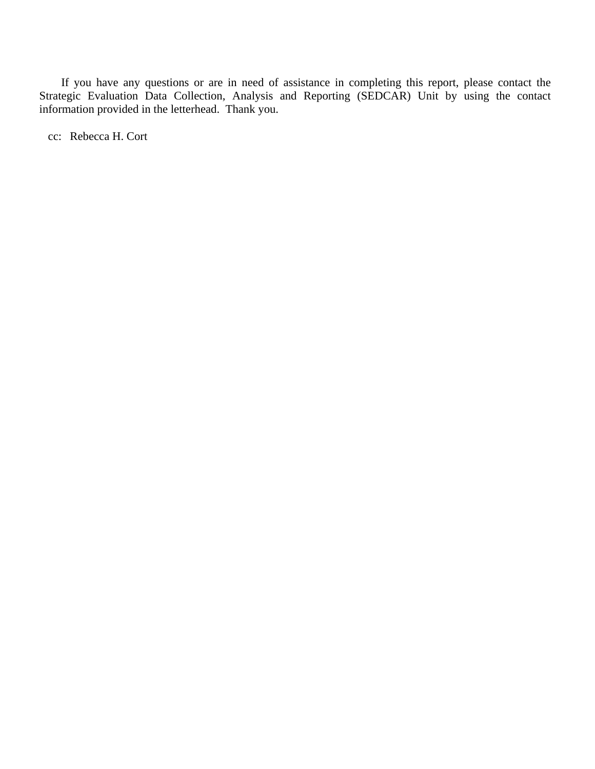If you have any questions or are in need of assistance in completing this report, please contact the Strategic Evaluation Data Collection, Analysis and Reporting (SEDCAR) Unit by using the contact information provided in the letterhead. Thank you.

cc: Rebecca H. Cort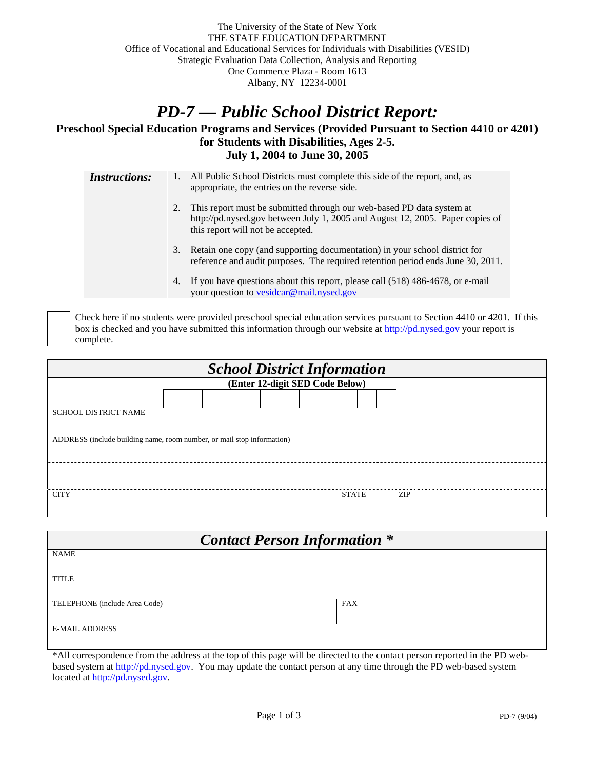## *PD-7 — Public School District Report:*

## **Preschool Special Education Programs and Services (Provided Pursuant to Section 4410 or 4201) for Students with Disabilities, Ages 2-5. July 1, 2004 to June 30, 2005**

*Instructions:* 1. All Public School Districts must complete this side of the report, and, as appropriate, the entries on the reverse side. 2. This report must be submitted through our web-based PD data system at http://pd.nysed.gov between July 1, 2005 and August 12, 2005. Paper copies of this report will not be accepted. 3. Retain one copy (and supporting documentation) in your school district for reference and audit purposes. The required retention period ends June 30, 2011. 4. If you have questions about this report, please call (518) 486-4678, or e-mail your question to vesidcar@mail.nysed.gov

 Check here if no students were provided preschool special education services pursuant to Section 4410 or 4201. If this box is checked and you have submitted this information through our website at http://pd.nysed.gov your report is complete.

| <b>School District Information</b>                                     |  |  |  |  |  |  |  |  |  |              |  |  |     |
|------------------------------------------------------------------------|--|--|--|--|--|--|--|--|--|--------------|--|--|-----|
| (Enter 12-digit SED Code Below)                                        |  |  |  |  |  |  |  |  |  |              |  |  |     |
|                                                                        |  |  |  |  |  |  |  |  |  |              |  |  |     |
| <b>SCHOOL DISTRICT NAME</b>                                            |  |  |  |  |  |  |  |  |  |              |  |  |     |
|                                                                        |  |  |  |  |  |  |  |  |  |              |  |  |     |
| ADDRESS (include building name, room number, or mail stop information) |  |  |  |  |  |  |  |  |  |              |  |  |     |
|                                                                        |  |  |  |  |  |  |  |  |  |              |  |  |     |
|                                                                        |  |  |  |  |  |  |  |  |  |              |  |  |     |
|                                                                        |  |  |  |  |  |  |  |  |  |              |  |  |     |
| <b>CITY</b>                                                            |  |  |  |  |  |  |  |  |  | <b>STATE</b> |  |  | ZIP |
|                                                                        |  |  |  |  |  |  |  |  |  |              |  |  |     |

| <b>Contact Person Information *</b> |            |  |  |  |  |  |  |
|-------------------------------------|------------|--|--|--|--|--|--|
| <b>NAME</b>                         |            |  |  |  |  |  |  |
| <b>TITLE</b>                        |            |  |  |  |  |  |  |
|                                     |            |  |  |  |  |  |  |
| TELEPHONE (include Area Code)       | <b>FAX</b> |  |  |  |  |  |  |
| <b>E-MAIL ADDRESS</b>               |            |  |  |  |  |  |  |

\*All correspondence from the address at the top of this page will be directed to the contact person reported in the PD webbased system at http://pd.nysed.gov. You may update the contact person at any time through the PD web-based system located at http://pd.nysed.gov.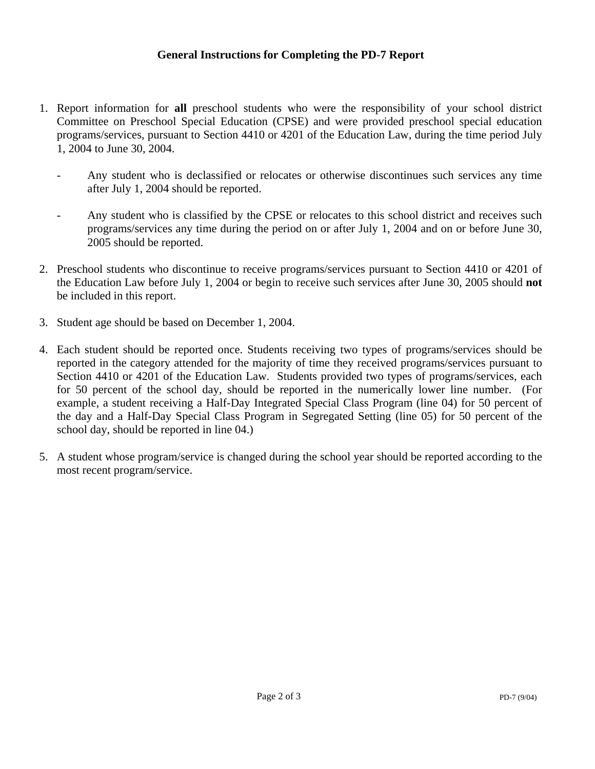- 1. Report information for **all** preschool students who were the responsibility of your school district Committee on Preschool Special Education (CPSE) and were provided preschool special education programs/services, pursuant to Section 4410 or 4201 of the Education Law, during the time period July 1, 2004 to June 30, 2004.
	- Any student who is declassified or relocates or otherwise discontinues such services any time after July 1, 2004 should be reported.
	- Any student who is classified by the CPSE or relocates to this school district and receives such programs/services any time during the period on or after July 1, 2004 and on or before June 30, 2005 should be reported.
- 2. Preschool students who discontinue to receive programs/services pursuant to Section 4410 or 4201 of the Education Law before July 1, 2004 or begin to receive such services after June 30, 2005 should **not** be included in this report.
- 3. Student age should be based on December 1, 2004.
- 4. Each student should be reported once. Students receiving two types of programs/services should be reported in the category attended for the majority of time they received programs/services pursuant to Section 4410 or 4201 of the Education Law. Students provided two types of programs/services, each for 50 percent of the school day, should be reported in the numerically lower line number. (For example, a student receiving a Half-Day Integrated Special Class Program (line 04) for 50 percent of the day and a Half-Day Special Class Program in Segregated Setting (line 05) for 50 percent of the school day, should be reported in line 04.)
- 5. A student whose program/service is changed during the school year should be reported according to the most recent program/service.